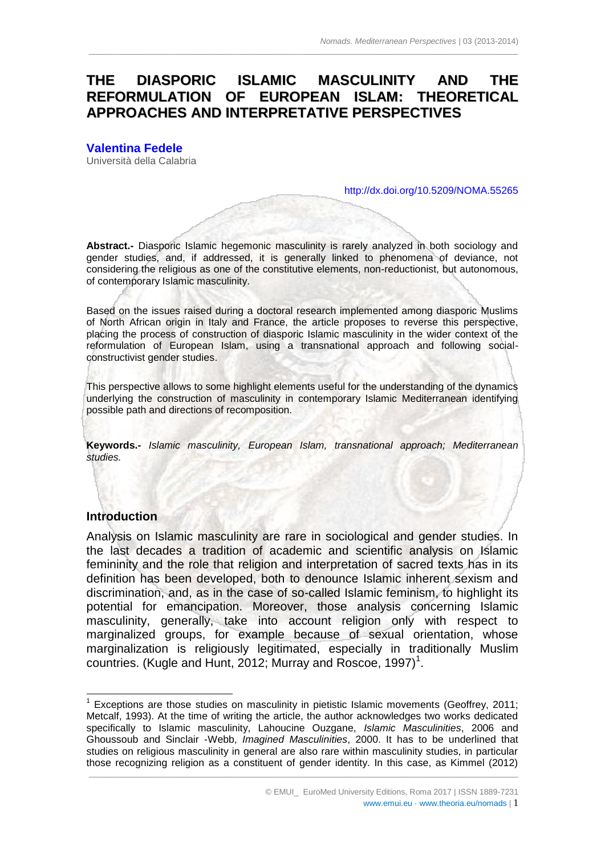# **THE DIASPORIC ISLAMIC MASCULINITY AND THE REFORMULATION OF EUROPEAN ISLAM: THEORETICAL APPROACHES AND INTERPRETATIVE PERSPECTIVES**

 $\_$  ,  $\_$  ,  $\_$  ,  $\_$  ,  $\_$  ,  $\_$  ,  $\_$  ,  $\_$  ,  $\_$  ,  $\_$  ,  $\_$  ,  $\_$  ,  $\_$  ,  $\_$  ,  $\_$  ,  $\_$  ,  $\_$  ,  $\_$  ,  $\_$  ,  $\_$  ,  $\_$  ,  $\_$  ,  $\_$  ,  $\_$  ,  $\_$  ,  $\_$  ,  $\_$  ,  $\_$  ,  $\_$  ,  $\_$  ,  $\_$  ,  $\_$  ,  $\_$  ,  $\_$  ,  $\_$  ,  $\_$  ,  $\_$  ,

**[Valentina Fedele](mailto:valentinaf78@yahoo.it)**

Università della Calabria

<http://dx.doi.org/10.5209/NOMA.55265>

**Abstract.-** Diasporic Islamic hegemonic masculinity is rarely analyzed in both sociology and gender studies, and, if addressed, it is generally linked to phenomena of deviance, not considering the religious as one of the constitutive elements, non-reductionist, but autonomous, of contemporary Islamic masculinity.

Based on the issues raised during a doctoral research implemented among diasporic Muslims of North African origin in Italy and France, the article proposes to reverse this perspective, placing the process of construction of diasporic Islamic masculinity in the wider context of the reformulation of European Islam, using a transnational approach and following socialconstructivist gender studies.

This perspective allows to some highlight elements useful for the understanding of the dynamics underlying the construction of masculinity in contemporary Islamic Mediterranean identifying possible path and directions of recomposition.

**Keywords.-** *Islamic masculinity, European Islam, transnational approach; Mediterranean studies.*

#### **Introduction**

-

Analysis on Islamic masculinity are rare in sociological and gender studies. In the last decades a tradition of academic and scientific analysis on Islamic femininity and the role that religion and interpretation of sacred texts has in its definition has been developed, both to denounce Islamic inherent sexism and discrimination, and, as in the case of so-called Islamic feminism, to highlight its potential for emancipation. Moreover, those analysis concerning Islamic masculinity, generally, take into account religion only with respect to marginalized groups, for example because of sexual orientation, whose marginalization is religiously legitimated, especially in traditionally Muslim  $countries.$  (Kugle and Hunt, 2012; Murray and Roscoe, 1997)<sup>1</sup>.

\_\_\_\_\_\_\_\_\_\_\_\_\_\_\_\_\_\_\_\_\_\_\_\_\_\_\_\_\_\_\_\_\_\_\_\_\_\_\_\_\_\_\_\_\_\_\_\_\_\_\_\_\_\_\_\_\_\_\_\_\_\_\_\_\_\_\_\_\_\_\_\_\_\_\_\_\_\_\_\_\_\_\_\_\_\_\_\_\_\_\_\_\_\_\_ 1 Exceptions are those studies on masculinity in pietistic Islamic movements (Geoffrey, 2011; Metcalf, 1993). At the time of writing the article, the author acknowledges two works dedicated specifically to Islamic masculinity, Lahoucine Ouzgane, *Islamic Masculinities*, 2006 and Ghoussoub and Sinclair -Webb, *Imagined Masculinities*, 2000. It has to be underlined that studies on religious masculinity in general are also rare within masculinity studies, in particular those recognizing religion as a constituent of gender identity. In this case, as Kimmel (2012)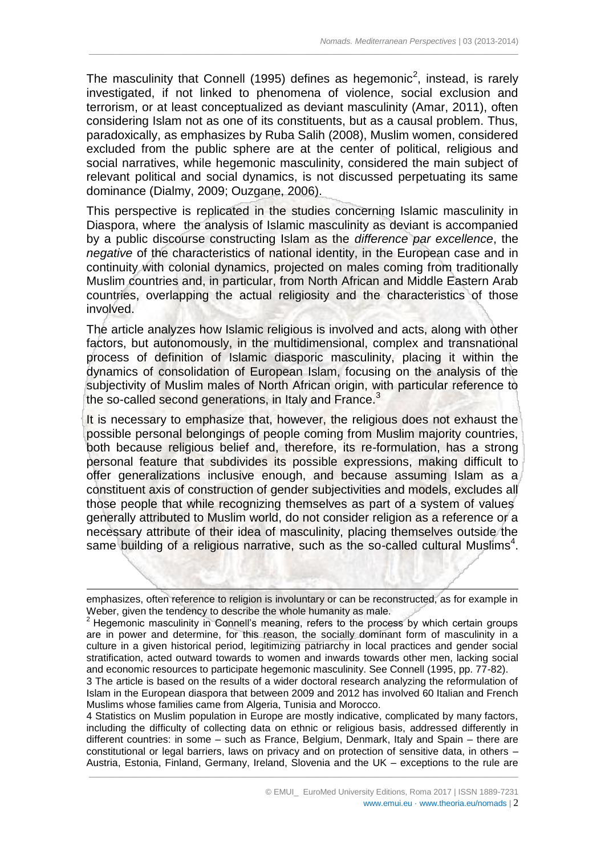The masculinity that Connell (1995) defines as hegemonic<sup>2</sup>, instead, is rarely investigated, if not linked to phenomena of violence, social exclusion and terrorism, or at least conceptualized as deviant masculinity (Amar, 2011), often considering Islam not as one of its constituents, but as a causal problem. Thus, paradoxically, as emphasizes by Ruba Salih (2008), Muslim women, considered excluded from the public sphere are at the center of political, religious and social narratives, while hegemonic masculinity, considered the main subject of relevant political and social dynamics, is not discussed perpetuating its same dominance (Dialmy, 2009; Ouzgane, 2006).

 $\_$  ,  $\_$  ,  $\_$  ,  $\_$  ,  $\_$  ,  $\_$  ,  $\_$  ,  $\_$  ,  $\_$  ,  $\_$  ,  $\_$  ,  $\_$  ,  $\_$  ,  $\_$  ,  $\_$  ,  $\_$  ,  $\_$  ,  $\_$  ,  $\_$  ,  $\_$  ,  $\_$  ,  $\_$  ,  $\_$  ,  $\_$  ,  $\_$  ,  $\_$  ,  $\_$  ,  $\_$  ,  $\_$  ,  $\_$  ,  $\_$  ,  $\_$  ,  $\_$  ,  $\_$  ,  $\_$  ,  $\_$  ,  $\_$  ,

This perspective is replicated in the studies concerning Islamic masculinity in Diaspora, where the analysis of Islamic masculinity as deviant is accompanied by a public discourse constructing Islam as the *difference par excellence*, the *negative* of the characteristics of national identity, in the European case and in continuity with colonial dynamics, projected on males coming from traditionally Muslim countries and, in particular, from North African and Middle Eastern Arab countries, overlapping the actual religiosity and the characteristics of those involved.

The article analyzes how Islamic religious is involved and acts, along with other factors, but autonomously, in the multidimensional, complex and transnational process of definition of Islamic diasporic masculinity, placing it within the dynamics of consolidation of European Islam, focusing on the analysis of the subjectivity of Muslim males of North African origin, with particular reference to the so-called second generations, in Italy and France. $3$ 

It is necessary to emphasize that, however, the religious does not exhaust the possible personal belongings of people coming from Muslim majority countries, both because religious belief and, therefore, its re-formulation, has a strong personal feature that subdivides its possible expressions, making difficult to offer generalizations inclusive enough, and because assuming Islam as a constituent axis of construction of gender subjectivities and models, excludes all those people that while recognizing themselves as part of a system of values generally attributed to Muslim world, do not consider religion as a reference or a necessary attribute of their idea of masculinity, placing themselves outside the same building of a religious narrative, such as the so-called cultural Muslims<sup>4</sup>.

-

\_\_\_\_\_\_\_\_\_\_\_\_\_\_\_\_\_\_\_\_\_\_\_\_\_\_\_\_\_\_\_\_\_\_\_\_\_\_\_\_\_\_\_\_\_\_\_\_\_\_\_\_\_\_\_\_\_\_\_\_\_\_\_\_\_\_\_\_\_\_\_\_\_\_\_\_\_\_\_\_\_\_\_\_\_\_\_\_\_\_\_\_\_\_\_ 4 Statistics on Muslim population in Europe are mostly indicative, complicated by many factors, including the difficulty of collecting data on ethnic or religious basis, addressed differently in different countries: in some – such as France, Belgium, Denmark, Italy and Spain – there are constitutional or legal barriers, laws on privacy and on protection of sensitive data, in others – Austria, Estonia, Finland, Germany, Ireland, Slovenia and the UK – exceptions to the rule are

emphasizes, often reference to religion is involuntary or can be reconstructed, as for example in Weber, given the tendency to describe the whole humanity as male.

<sup>&</sup>lt;sup>2</sup> Hegemonic masculinity in Connell's meaning, refers to the process by which certain groups are in power and determine, for this reason, the socially dominant form of masculinity in a culture in a given historical period, legitimizing patriarchy in local practices and gender social stratification, acted outward towards to women and inwards towards other men, lacking social and economic resources to participate hegemonic masculinity. See Connell (1995, pp. 77-82).

<sup>3</sup> The article is based on the results of a wider doctoral research analyzing the reformulation of Islam in the European diaspora that between 2009 and 2012 has involved 60 Italian and French Muslims whose families came from Algeria, Tunisia and Morocco.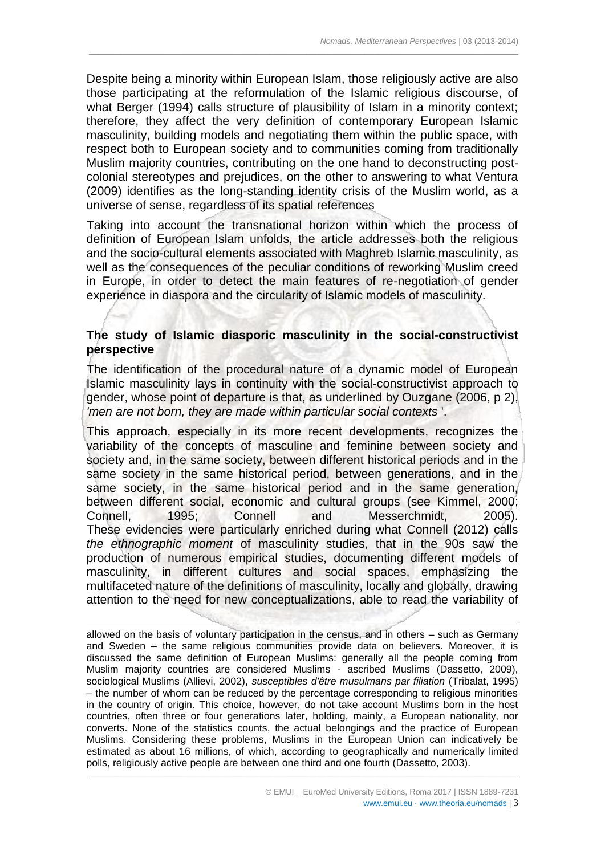Despite being a minority within European Islam, those religiously active are also those participating at the reformulation of the Islamic religious discourse, of what Berger (1994) calls structure of plausibility of Islam in a minority context; therefore, they affect the very definition of contemporary European Islamic masculinity, building models and negotiating them within the public space, with respect both to European society and to communities coming from traditionally Muslim majority countries, contributing on the one hand to deconstructing postcolonial stereotypes and prejudices, on the other to answering to what Ventura (2009) identifies as the long-standing identity crisis of the Muslim world, as a universe of sense, regardless of its spatial references

 $\_$  ,  $\_$  ,  $\_$  ,  $\_$  ,  $\_$  ,  $\_$  ,  $\_$  ,  $\_$  ,  $\_$  ,  $\_$  ,  $\_$  ,  $\_$  ,  $\_$  ,  $\_$  ,  $\_$  ,  $\_$  ,  $\_$  ,  $\_$  ,  $\_$  ,  $\_$  ,  $\_$  ,  $\_$  ,  $\_$  ,  $\_$  ,  $\_$  ,  $\_$  ,  $\_$  ,  $\_$  ,  $\_$  ,  $\_$  ,  $\_$  ,  $\_$  ,  $\_$  ,  $\_$  ,  $\_$  ,  $\_$  ,  $\_$  ,

Taking into account the transnational horizon within which the process of definition of European Islam unfolds, the article addresses both the religious and the socio-cultural elements associated with Maghreb Islamic masculinity, as well as the consequences of the peculiar conditions of reworking Muslim creed in Europe, in order to detect the main features of re-negotiation of gender experience in diaspora and the circularity of Islamic models of masculinity.

### **The study of Islamic diasporic masculinity in the social-constructivist perspective**

The identification of the procedural nature of a dynamic model of European Islamic masculinity lays in continuity with the social-constructivist approach to gender, whose point of departure is that, as underlined by Ouzgane (2006, p 2), *'men are not born, they are made within particular social contexts* '.

This approach, especially in its more recent developments, recognizes the variability of the concepts of masculine and feminine between society and society and, in the same society, between different historical periods and in the same society in the same historical period, between generations, and in the same society, in the same historical period and in the same generation, between different social, economic and cultural groups (see Kimmel, 2000; Connell, 1995; Connell and Messerchmidt, 2005). These evidencies were particularly enriched during what Connell (2012) calls *the ethnographic moment* of masculinity studies, that in the 90s saw the production of numerous empirical studies, documenting different models of masculinity, in different cultures and social spaces, emphasizing the multifaceted nature of the definitions of masculinity, locally and globally, drawing attention to the need for new conceptualizations, able to read the variability of

allowed on the basis of voluntary participation in the census, and in others – such as Germany and Sweden – the same religious communities provide data on believers. Moreover, it is discussed the same definition of European Muslims: generally all the people coming from Muslim majority countries are considered Muslims - ascribed Muslims (Dassetto, 2009), sociological Muslims (Allievi, 2002), *susceptibles d'être musulmans par filiation* (Tribalat, 1995) – the number of whom can be reduced by the percentage corresponding to religious minorities in the country of origin. This choice, however, do not take account Muslims born in the host countries, often three or four generations later, holding, mainly, a European nationality, nor converts. None of the statistics counts, the actual belongings and the practice of European Muslims. Considering these problems, Muslims in the European Union can indicatively be estimated as about 16 millions, of which, according to geographically and numerically limited polls, religiously active people are between one third and one fourth (Dassetto, 2003).

-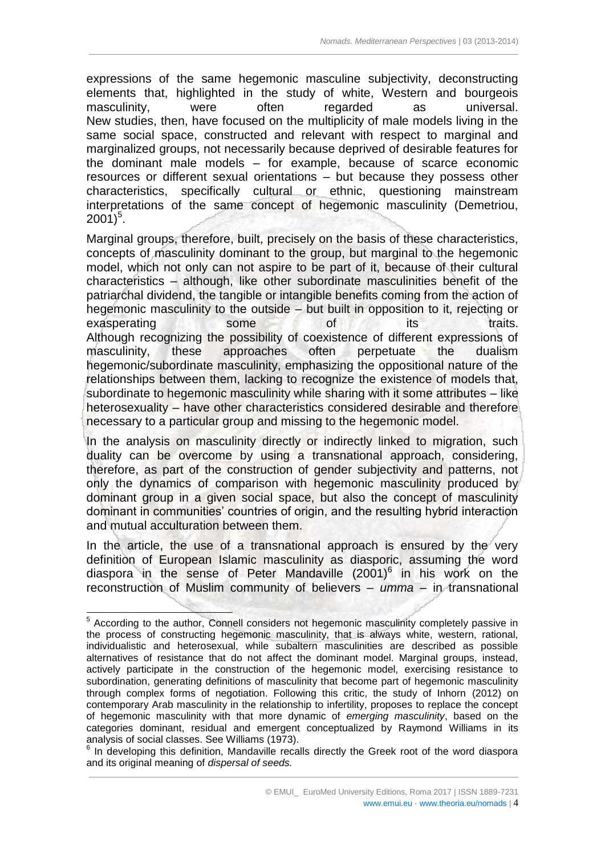expressions of the same hegemonic masculine subjectivity, deconstructing elements that, highlighted in the study of white, Western and bourgeois masculinity, were often regarded as universal. New studies, then, have focused on the multiplicity of male models living in the same social space, constructed and relevant with respect to marginal and marginalized groups, not necessarily because deprived of desirable features for the dominant male models – for example, because of scarce economic resources or different sexual orientations – but because they possess other characteristics, specifically cultural or ethnic, questioning mainstream interpretations of the same concept of hegemonic masculinity (Demetriou,  $2001)^5$ .

 $\_$  ,  $\_$  ,  $\_$  ,  $\_$  ,  $\_$  ,  $\_$  ,  $\_$  ,  $\_$  ,  $\_$  ,  $\_$  ,  $\_$  ,  $\_$  ,  $\_$  ,  $\_$  ,  $\_$  ,  $\_$  ,  $\_$  ,  $\_$  ,  $\_$  ,  $\_$  ,  $\_$  ,  $\_$  ,  $\_$  ,  $\_$  ,  $\_$  ,  $\_$  ,  $\_$  ,  $\_$  ,  $\_$  ,  $\_$  ,  $\_$  ,  $\_$  ,  $\_$  ,  $\_$  ,  $\_$  ,  $\_$  ,  $\_$  ,

Marginal groups, therefore, built, precisely on the basis of these characteristics, concepts of masculinity dominant to the group, but marginal to the hegemonic model, which not only can not aspire to be part of it, because of their cultural characteristics – although, like other subordinate masculinities benefit of the patriarchal dividend, the tangible or intangible benefits coming from the action of hegemonic masculinity to the outside – but built in opposition to it, rejecting or exasperating some of its traits. Although recognizing the possibility of coexistence of different expressions of masculinity, these approaches often perpetuate the dualism hegemonic/subordinate masculinity, emphasizing the oppositional nature of the relationships between them, lacking to recognize the existence of models that, subordinate to hegemonic masculinity while sharing with it some attributes – like heterosexuality – have other characteristics considered desirable and therefore necessary to a particular group and missing to the hegemonic model.

In the analysis on masculinity directly or indirectly linked to migration, such duality can be overcome by using a transnational approach, considering, therefore, as part of the construction of gender subjectivity and patterns, not only the dynamics of comparison with hegemonic masculinity produced by dominant group in a given social space, but also the concept of masculinity dominant in communities' countries of origin, and the resulting hybrid interaction and mutual acculturation between them.

In the article, the use of a transnational approach is ensured by the very definition of European Islamic masculinity as diasporic, assuming the word diaspora in the sense of Peter Mandaville (2001)<sup>6</sup> in his work on the reconstruction of Muslim community of believers – *umma* – in transnational

 5 According to the author, Connell considers not hegemonic masculinity completely passive in the process of constructing hegemonic masculinity, that is always white, western, rational, individualistic and heterosexual, while subaltern masculinities are described as possible alternatives of resistance that do not affect the dominant model. Marginal groups, instead, actively participate in the construction of the hegemonic model, exercising resistance to subordination, generating definitions of masculinity that become part of hegemonic masculinity through complex forms of negotiation. Following this critic, the study of Inhorn (2012) on contemporary Arab masculinity in the relationship to infertility, proposes to replace the concept of hegemonic masculinity with that more dynamic of *emerging masculinity*, based on the categories dominant, residual and emergent conceptualized by Raymond Williams in its analysis of social classes. See Williams (1973).

\_\_\_\_\_\_\_\_\_\_\_\_\_\_\_\_\_\_\_\_\_\_\_\_\_\_\_\_\_\_\_\_\_\_\_\_\_\_\_\_\_\_\_\_\_\_\_\_\_\_\_\_\_\_\_\_\_\_\_\_\_\_\_\_\_\_\_\_\_\_\_\_\_\_\_\_\_\_\_\_\_\_\_\_\_\_\_\_\_\_\_\_\_\_\_ <sup>6</sup> In developing this definition, Mandaville recalls directly the Greek root of the word diaspora and its original meaning of *dispersal of seeds.*

www.emui.eu · www.theoria.eu/nomads | 4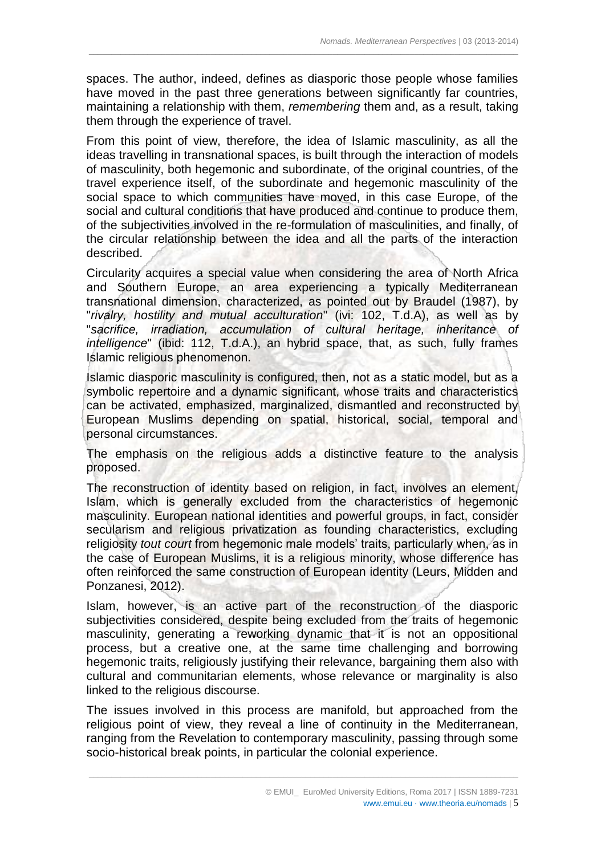spaces. The author, indeed, defines as diasporic those people whose families have moved in the past three generations between significantly far countries, maintaining a relationship with them, *remembering* them and, as a result, taking them through the experience of travel.

 $\_$  ,  $\_$  ,  $\_$  ,  $\_$  ,  $\_$  ,  $\_$  ,  $\_$  ,  $\_$  ,  $\_$  ,  $\_$  ,  $\_$  ,  $\_$  ,  $\_$  ,  $\_$  ,  $\_$  ,  $\_$  ,  $\_$  ,  $\_$  ,  $\_$  ,  $\_$  ,  $\_$  ,  $\_$  ,  $\_$  ,  $\_$  ,  $\_$  ,  $\_$  ,  $\_$  ,  $\_$  ,  $\_$  ,  $\_$  ,  $\_$  ,  $\_$  ,  $\_$  ,  $\_$  ,  $\_$  ,  $\_$  ,  $\_$  ,

From this point of view, therefore, the idea of Islamic masculinity, as all the ideas travelling in transnational spaces, is built through the interaction of models of masculinity, both hegemonic and subordinate, of the original countries, of the travel experience itself, of the subordinate and hegemonic masculinity of the social space to which communities have moved, in this case Europe, of the social and cultural conditions that have produced and continue to produce them, of the subjectivities involved in the re-formulation of masculinities, and finally, of the circular relationship between the idea and all the parts of the interaction described.

Circularity acquires a special value when considering the area of North Africa and Southern Europe, an area experiencing a typically Mediterranean transnational dimension, characterized, as pointed out by Braudel (1987), by "*rivalry, hostility and mutual acculturation*" (ivi: 102, T.d.A), as well as by "*sacrifice, irradiation, accumulation of cultural heritage, inheritance of intelligence*" (ibid: 112, T.d.A.), an hybrid space, that, as such, fully frames Islamic religious phenomenon.

Islamic diasporic masculinity is configured, then, not as a static model, but as a symbolic repertoire and a dynamic significant, whose traits and characteristics can be activated, emphasized, marginalized, dismantled and reconstructed by European Muslims depending on spatial, historical, social, temporal and personal circumstances.

The emphasis on the religious adds a distinctive feature to the analysis proposed.

The reconstruction of identity based on religion, in fact, involves an element, Islam, which is generally excluded from the characteristics of hegemonic masculinity. European national identities and powerful groups, in fact, consider secularism and religious privatization as founding characteristics, excluding religiosity *tout court* from hegemonic male models' traits, particularly when, as in the case of European Muslims, it is a religious minority, whose difference has often reinforced the same construction of European identity (Leurs, Midden and Ponzanesi, 2012).

Islam, however, is an active part of the reconstruction of the diasporic subjectivities considered, despite being excluded from the traits of hegemonic masculinity, generating a reworking dynamic that it is not an oppositional process, but a creative one, at the same time challenging and borrowing hegemonic traits, religiously justifying their relevance, bargaining them also with cultural and communitarian elements, whose relevance or marginality is also linked to the religious discourse.

The issues involved in this process are manifold, but approached from the religious point of view, they reveal a line of continuity in the Mediterranean, ranging from the Revelation to contemporary masculinity, passing through some socio-historical break points, in particular the colonial experience.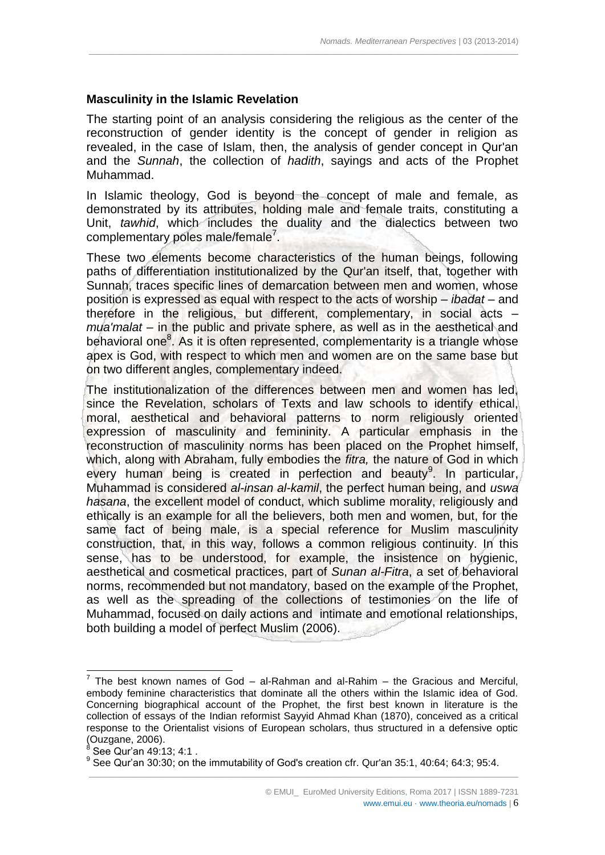### **Masculinity in the Islamic Revelation**

The starting point of an analysis considering the religious as the center of the reconstruction of gender identity is the concept of gender in religion as revealed, in the case of Islam, then, the analysis of gender concept in Qur'an and the *Sunnah*, the collection of *hadith*, sayings and acts of the Prophet Muhammad.

 $\_$  ,  $\_$  ,  $\_$  ,  $\_$  ,  $\_$  ,  $\_$  ,  $\_$  ,  $\_$  ,  $\_$  ,  $\_$  ,  $\_$  ,  $\_$  ,  $\_$  ,  $\_$  ,  $\_$  ,  $\_$  ,  $\_$  ,  $\_$  ,  $\_$  ,  $\_$  ,  $\_$  ,  $\_$  ,  $\_$  ,  $\_$  ,  $\_$  ,  $\_$  ,  $\_$  ,  $\_$  ,  $\_$  ,  $\_$  ,  $\_$  ,  $\_$  ,  $\_$  ,  $\_$  ,  $\_$  ,  $\_$  ,  $\_$  ,

In Islamic theology, God is beyond the concept of male and female, as demonstrated by its attributes, holding male and female traits, constituting a Unit, *tawhid*, which includes the duality and the dialectics between two complementary poles male/female<sup>7</sup>.

These two elements become characteristics of the human beings, following paths of differentiation institutionalized by the Qur'an itself, that, together with Sunnah, traces specific lines of demarcation between men and women, whose position is expressed as equal with respect to the acts of worship – *ibadat* – and therefore in the religious, but different, complementary, in social acts – *mua'malat* – in the public and private sphere, as well as in the aesthetical and behavioral one<sup>8</sup>. As it is often represented, complementarity is a triangle whose apex is God, with respect to which men and women are on the same base but on two different angles, complementary indeed.

The institutionalization of the differences between men and women has led, since the Revelation, scholars of Texts and law schools to identify ethical, moral, aesthetical and behavioral patterns to norm religiously oriented expression of masculinity and femininity. A particular emphasis in the reconstruction of masculinity norms has been placed on the Prophet himself, which, along with Abraham, fully embodies the *fitra,* the nature of God in which every human being is created in perfection and beauty<sup>9</sup>. In particular, Muhammad is considered *al-insan al-kamil*, the perfect human being, and *uswa hasana*, the excellent model of conduct, which sublime morality, religiously and ethically is an example for all the believers, both men and women, but, for the same fact of being male, is a special reference for Muslim masculinity construction, that, in this way, follows a common religious continuity. In this sense, has to be understood, for example, the insistence on hygienic, aesthetical and cosmetical practices, part of *Sunan al-Fitra*, a set of behavioral norms, recommended but not mandatory, based on the example of the Prophet, as well as the spreading of the collections of testimonies on the life of Muhammad, focused on daily actions and intimate and emotional relationships, both building a model of perfect Muslim (2006).

 $\overline{a}$ 

 $7$  The best known names of God – al-Rahman and al-Rahim – the Gracious and Merciful, embody feminine characteristics that dominate all the others within the Islamic idea of God. Concerning biographical account of the Prophet, the first best known in literature is the collection of essays of the Indian reformist Sayyid Ahmad Khan (1870), conceived as a critical response to the Orientalist visions of European scholars, thus structured in a defensive optic (Ouzgane, 2006). 8

See Qur'an 49:13; 4:1 .

 $^9$  See Qur'an 30:30; on the immutability of God's creation cfr. Qur'an 35:1, 40:64; 64:3; 95:4.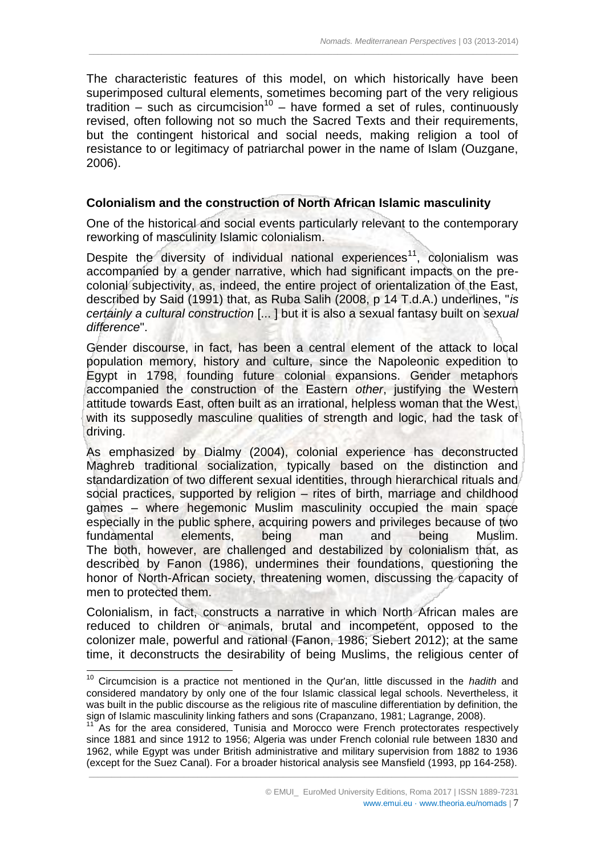The characteristic features of this model, on which historically have been superimposed cultural elements, sometimes becoming part of the very religious tradition – such as circumcision<sup>10</sup> – have formed a set of rules, continuously revised, often following not so much the Sacred Texts and their requirements, but the contingent historical and social needs, making religion a tool of resistance to or legitimacy of patriarchal power in the name of Islam (Ouzgane, 2006).

 $\_$  ,  $\_$  ,  $\_$  ,  $\_$  ,  $\_$  ,  $\_$  ,  $\_$  ,  $\_$  ,  $\_$  ,  $\_$  ,  $\_$  ,  $\_$  ,  $\_$  ,  $\_$  ,  $\_$  ,  $\_$  ,  $\_$  ,  $\_$  ,  $\_$  ,  $\_$  ,  $\_$  ,  $\_$  ,  $\_$  ,  $\_$  ,  $\_$  ,  $\_$  ,  $\_$  ,  $\_$  ,  $\_$  ,  $\_$  ,  $\_$  ,  $\_$  ,  $\_$  ,  $\_$  ,  $\_$  ,  $\_$  ,  $\_$  ,

#### **Colonialism and the construction of North African Islamic masculinity**

One of the historical and social events particularly relevant to the contemporary reworking of masculinity Islamic colonialism.

Despite the diversity of individual national experiences<sup>11</sup>, colonialism was accompanied by a gender narrative, which had significant impacts on the precolonial subjectivity, as, indeed, the entire project of orientalization of the East, described by Said (1991) that, as Ruba Salih (2008, p 14 T.d.A.) underlines, "*is certainly a cultural construction* [... ] but it is also a sexual fantasy built on *sexual difference*".

Gender discourse, in fact, has been a central element of the attack to local population memory, history and culture, since the Napoleonic expedition to Egypt in 1798, founding future colonial expansions. Gender metaphors accompanied the construction of the Eastern *other*, justifying the Western attitude towards East, often built as an irrational, helpless woman that the West, with its supposedly masculine qualities of strength and logic, had the task of driving.

As emphasized by Dialmy (2004), colonial experience has deconstructed Maghreb traditional socialization, typically based on the distinction and standardization of two different sexual identities, through hierarchical rituals and social practices, supported by religion – rites of birth, marriage and childhood games – where hegemonic Muslim masculinity occupied the main space especially in the public sphere, acquiring powers and privileges because of two fundamental elements, being man and being Muslim. The both, however, are challenged and destabilized by colonialism that, as described by Fanon (1986), undermines their foundations, questioning the honor of North-African society, threatening women, discussing the capacity of men to protected them.

Colonialism, in fact, constructs a narrative in which North African males are reduced to children or animals, brutal and incompetent, opposed to the colonizer male, powerful and rational (Fanon, 1986; Siebert 2012); at the same time, it deconstructs the desirability of being Muslims, the religious center of

 $\overline{a}$ 

<sup>10</sup> Circumcision is a practice not mentioned in the Qur'an, little discussed in the *hadith* and considered mandatory by only one of the four Islamic classical legal schools. Nevertheless, it was built in the public discourse as the religious rite of masculine differentiation by definition, the sign of Islamic masculinity linking fathers and sons (Crapanzano, 1981; Lagrange, 2008).

\_\_\_\_\_\_\_\_\_\_\_\_\_\_\_\_\_\_\_\_\_\_\_\_\_\_\_\_\_\_\_\_\_\_\_\_\_\_\_\_\_\_\_\_\_\_\_\_\_\_\_\_\_\_\_\_\_\_\_\_\_\_\_\_\_\_\_\_\_\_\_\_\_\_\_\_\_\_\_\_\_\_\_\_\_\_\_\_\_\_\_\_\_\_\_ As for the area considered, Tunisia and Morocco were French protectorates respectively since 1881 and since 1912 to 1956; Algeria was under French colonial rule between 1830 and 1962, while Egypt was under British administrative and military supervision from 1882 to 1936 (except for the Suez Canal). For a broader historical analysis see Mansfield (1993, pp 164-258).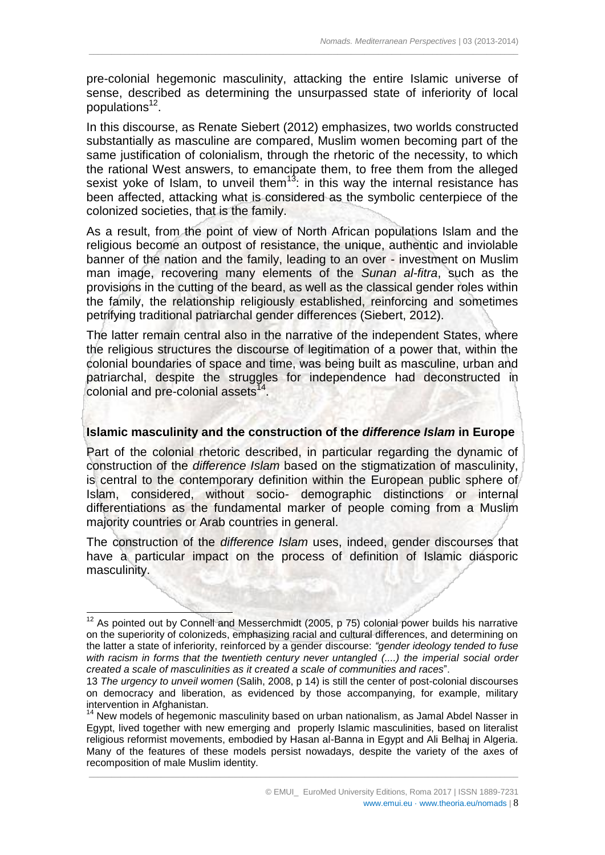pre-colonial hegemonic masculinity, attacking the entire Islamic universe of sense, described as determining the unsurpassed state of inferiority of local populations<sup>12</sup>.

 $\_$  ,  $\_$  ,  $\_$  ,  $\_$  ,  $\_$  ,  $\_$  ,  $\_$  ,  $\_$  ,  $\_$  ,  $\_$  ,  $\_$  ,  $\_$  ,  $\_$  ,  $\_$  ,  $\_$  ,  $\_$  ,  $\_$  ,  $\_$  ,  $\_$  ,  $\_$  ,  $\_$  ,  $\_$  ,  $\_$  ,  $\_$  ,  $\_$  ,  $\_$  ,  $\_$  ,  $\_$  ,  $\_$  ,  $\_$  ,  $\_$  ,  $\_$  ,  $\_$  ,  $\_$  ,  $\_$  ,  $\_$  ,  $\_$  ,

In this discourse, as Renate Siebert (2012) emphasizes, two worlds constructed substantially as masculine are compared, Muslim women becoming part of the same justification of colonialism, through the rhetoric of the necessity, to which the rational West answers, to emancipate them, to free them from the alleged sexist yoke of Islam, to unveil them<sup>13</sup>: in this way the internal resistance has been affected, attacking what is considered as the symbolic centerpiece of the colonized societies, that is the family.

As a result, from the point of view of North African populations Islam and the religious become an outpost of resistance, the unique, authentic and inviolable banner of the nation and the family, leading to an over - investment on Muslim man image, recovering many elements of the *Sunan al-fitra*, such as the provisions in the cutting of the beard, as well as the classical gender roles within the family, the relationship religiously established, reinforcing and sometimes petrifying traditional patriarchal gender differences (Siebert, 2012).

The latter remain central also in the narrative of the independent States, where the religious structures the discourse of legitimation of a power that, within the colonial boundaries of space and time, was being built as masculine, urban and patriarchal, despite the struggles for independence had deconstructed in colonial and pre-colonial assets $^{14}$ .

#### **Islamic masculinity and the construction of the** *difference Islam* **in Europe**

Part of the colonial rhetoric described, in particular regarding the dynamic of construction of the *difference Islam* based on the stigmatization of masculinity, is central to the contemporary definition within the European public sphere of Islam, considered, without socio- demographic distinctions or internal differentiations as the fundamental marker of people coming from a Muslim majority countries or Arab countries in general.

The construction of the *difference Islam* uses, indeed, gender discourses that have a particular impact on the process of definition of Islamic diasporic masculinity.

-

 $12$  As pointed out by Connell and Messerchmidt (2005, p 75) colonial power builds his narrative on the superiority of colonizeds, emphasizing racial and cultural differences, and determining on the latter a state of inferiority, reinforced by a gender discourse: *"gender ideology tended to fuse with racism in forms that the twentieth century never untangled (....) the imperial social order created a scale of masculinities as it created a scale of communities and races*".

<sup>13</sup> *The urgency to unveil women* (Salih, 2008, p 14) is still the center of post-colonial discourses on democracy and liberation, as evidenced by those accompanying, for example, military intervention in Afghanistan.

\_\_\_\_\_\_\_\_\_\_\_\_\_\_\_\_\_\_\_\_\_\_\_\_\_\_\_\_\_\_\_\_\_\_\_\_\_\_\_\_\_\_\_\_\_\_\_\_\_\_\_\_\_\_\_\_\_\_\_\_\_\_\_\_\_\_\_\_\_\_\_\_\_\_\_\_\_\_\_\_\_\_\_\_\_\_\_\_\_\_\_\_\_\_\_ <sup>14</sup> New models of hegemonic masculinity based on urban nationalism, as Jamal Abdel Nasser in Egypt, lived together with new emerging and properly Islamic masculinities, based on literalist religious reformist movements, embodied by Hasan al-Banna in Egypt and Ali Belhaj in Algeria. Many of the features of these models persist nowadays, despite the variety of the axes of recomposition of male Muslim identity.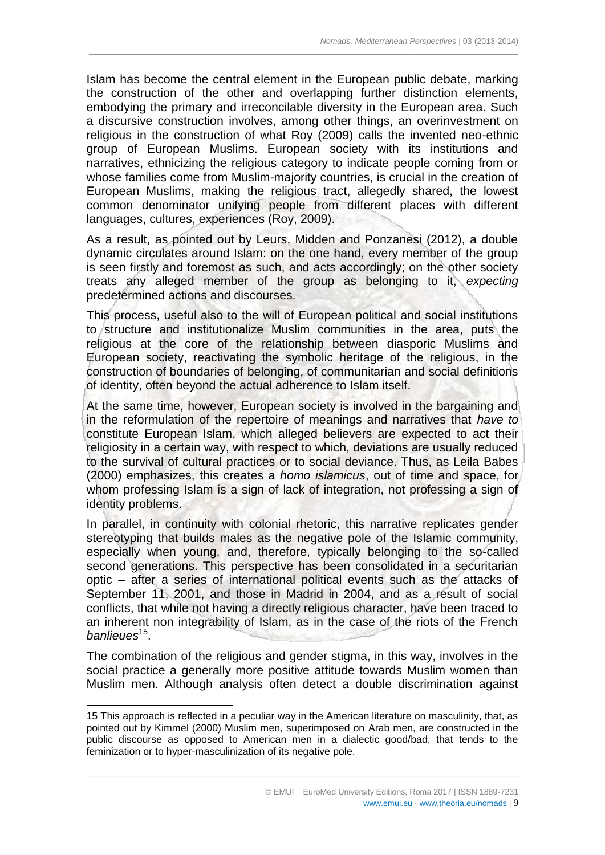Islam has become the central element in the European public debate, marking the construction of the other and overlapping further distinction elements, embodying the primary and irreconcilable diversity in the European area. Such a discursive construction involves, among other things, an overinvestment on religious in the construction of what Roy (2009) calls the invented neo-ethnic group of European Muslims. European society with its institutions and narratives, ethnicizing the religious category to indicate people coming from or whose families come from Muslim-majority countries, is crucial in the creation of European Muslims, making the religious tract, allegedly shared, the lowest common denominator unifying people from different places with different languages, cultures, experiences (Roy, 2009).

 $\_$  ,  $\_$  ,  $\_$  ,  $\_$  ,  $\_$  ,  $\_$  ,  $\_$  ,  $\_$  ,  $\_$  ,  $\_$  ,  $\_$  ,  $\_$  ,  $\_$  ,  $\_$  ,  $\_$  ,  $\_$  ,  $\_$  ,  $\_$  ,  $\_$  ,  $\_$  ,  $\_$  ,  $\_$  ,  $\_$  ,  $\_$  ,  $\_$  ,  $\_$  ,  $\_$  ,  $\_$  ,  $\_$  ,  $\_$  ,  $\_$  ,  $\_$  ,  $\_$  ,  $\_$  ,  $\_$  ,  $\_$  ,  $\_$  ,

As a result, as pointed out by Leurs, Midden and Ponzanesi (2012), a double dynamic circulates around Islam: on the one hand, every member of the group is seen firstly and foremost as such, and acts accordingly; on the other society treats any alleged member of the group as belonging to it, *expecting* predetermined actions and discourses.

This process, useful also to the will of European political and social institutions to structure and institutionalize Muslim communities in the area, puts the religious at the core of the relationship between diasporic Muslims and European society, reactivating the symbolic heritage of the religious, in the construction of boundaries of belonging, of communitarian and social definitions of identity, often beyond the actual adherence to Islam itself.

At the same time, however, European society is involved in the bargaining and in the reformulation of the repertoire of meanings and narratives that *have to* constitute European Islam, which alleged believers are expected to act their religiosity in a certain way, with respect to which, deviations are usually reduced to the survival of cultural practices or to social deviance. Thus, as Leila Babes (2000) emphasizes, this creates a *homo islamicus*, out of time and space, for whom professing Islam is a sign of lack of integration, not professing a sign of identity problems.

In parallel, in continuity with colonial rhetoric, this narrative replicates gender stereotyping that builds males as the negative pole of the Islamic community, especially when young, and, therefore, typically belonging to the so-called second generations. This perspective has been consolidated in a securitarian optic – after a series of international political events such as the attacks of September 11, 2001, and those in Madrid in 2004, and as a result of social conflicts, that while not having a directly religious character, have been traced to an inherent non integrability of Islam, as in the case of the riots of the French banlieues<sup>15</sup>.

The combination of the religious and gender stigma, in this way, involves in the social practice a generally more positive attitude towards Muslim women than Muslim men. Although analysis often detect a double discrimination against

1

<sup>15</sup> This approach is reflected in a peculiar way in the American literature on masculinity, that, as pointed out by Kimmel (2000) Muslim men, superimposed on Arab men, are constructed in the public discourse as opposed to American men in a dialectic good/bad, that tends to the feminization or to hyper-masculinization of its negative pole.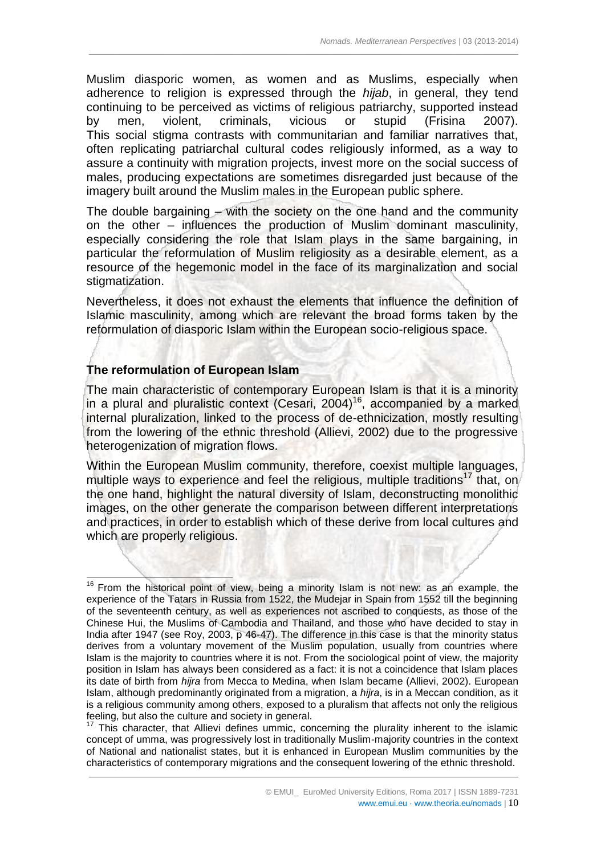Muslim diasporic women, as women and as Muslims, especially when adherence to religion is expressed through the *hijab*, in general, they tend continuing to be perceived as victims of religious patriarchy, supported instead by men, violent, criminals, vicious or stupid (Frisina 2007). This social stigma contrasts with communitarian and familiar narratives that, often replicating patriarchal cultural codes religiously informed, as a way to assure a continuity with migration projects, invest more on the social success of males, producing expectations are sometimes disregarded just because of the imagery built around the Muslim males in the European public sphere.

 $\_$  ,  $\_$  ,  $\_$  ,  $\_$  ,  $\_$  ,  $\_$  ,  $\_$  ,  $\_$  ,  $\_$  ,  $\_$  ,  $\_$  ,  $\_$  ,  $\_$  ,  $\_$  ,  $\_$  ,  $\_$  ,  $\_$  ,  $\_$  ,  $\_$  ,  $\_$  ,  $\_$  ,  $\_$  ,  $\_$  ,  $\_$  ,  $\_$  ,  $\_$  ,  $\_$  ,  $\_$  ,  $\_$  ,  $\_$  ,  $\_$  ,  $\_$  ,  $\_$  ,  $\_$  ,  $\_$  ,  $\_$  ,  $\_$  ,

The double bargaining – with the society on the one hand and the community on the other – influences the production of Muslim dominant masculinity, especially considering the role that Islam plays in the same bargaining, in particular the reformulation of Muslim religiosity as a desirable element, as a resource of the hegemonic model in the face of its marginalization and social stigmatization.

Nevertheless, it does not exhaust the elements that influence the definition of Islamic masculinity, among which are relevant the broad forms taken by the reformulation of diasporic Islam within the European socio-religious space.

### **The reformulation of European Islam**

-

The main characteristic of contemporary European Islam is that it is a minority in a plural and pluralistic context (Cesari,  $2004$ )<sup>16</sup>, accompanied by a marked internal pluralization, linked to the process of de-ethnicization, mostly resulting from the lowering of the ethnic threshold (Allievi, 2002) due to the progressive heterogenization of migration flows.

Within the European Muslim community, therefore, coexist multiple languages, multiple ways to experience and feel the religious, multiple traditions<sup>17</sup> that, on the one hand, highlight the natural diversity of Islam, deconstructing monolithic images, on the other generate the comparison between different interpretations and practices, in order to establish which of these derive from local cultures and which are properly religious.

 $16$  From the historical point of view, being a minority Islam is not new: as an example, the experience of the Tatars in Russia from 1522, the Mudejar in Spain from 1552 till the beginning of the seventeenth century, as well as experiences not ascribed to conquests, as those of the Chinese Hui, the Muslims of Cambodia and Thailand, and those who have decided to stay in India after 1947 (see Roy, 2003, p 46-47). The difference in this case is that the minority status derives from a voluntary movement of the Muslim population, usually from countries where Islam is the majority to countries where it is not. From the sociological point of view, the majority position in Islam has always been considered as a fact: it is not a coincidence that Islam places its date of birth from *hijra* from Mecca to Medina, when Islam became (Allievi, 2002). European Islam, although predominantly originated from a migration, a *hijra*, is in a Meccan condition, as it is a religious community among others, exposed to a pluralism that affects not only the religious feeling, but also the culture and society in general.

 $17$  This character, that Allievi defines ummic, concerning the plurality inherent to the islamic concept of umma, was progressively lost in traditionally Muslim-majority countries in the context of National and nationalist states, but it is enhanced in European Muslim communities by the characteristics of contemporary migrations and the consequent lowering of the ethnic threshold.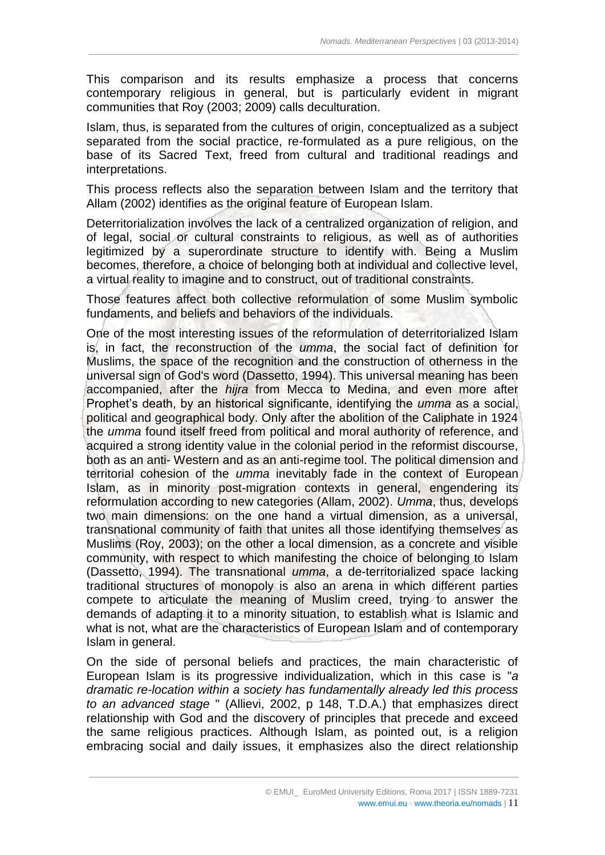This comparison and its results emphasize a process that concerns contemporary religious in general, but is particularly evident in migrant communities that Roy (2003; 2009) calls deculturation.

 $\_$  ,  $\_$  ,  $\_$  ,  $\_$  ,  $\_$  ,  $\_$  ,  $\_$  ,  $\_$  ,  $\_$  ,  $\_$  ,  $\_$  ,  $\_$  ,  $\_$  ,  $\_$  ,  $\_$  ,  $\_$  ,  $\_$  ,  $\_$  ,  $\_$  ,  $\_$  ,  $\_$  ,  $\_$  ,  $\_$  ,  $\_$  ,  $\_$  ,  $\_$  ,  $\_$  ,  $\_$  ,  $\_$  ,  $\_$  ,  $\_$  ,  $\_$  ,  $\_$  ,  $\_$  ,  $\_$  ,  $\_$  ,  $\_$  ,

Islam, thus, is separated from the cultures of origin, conceptualized as a subject separated from the social practice, re-formulated as a pure religious, on the base of its Sacred Text, freed from cultural and traditional readings and interpretations.

This process reflects also the separation between Islam and the territory that Allam (2002) identifies as the original feature of European Islam.

Deterritorialization involves the lack of a centralized organization of religion, and of legal, social or cultural constraints to religious, as well as of authorities legitimized by a superordinate structure to identify with. Being a Muslim becomes, therefore, a choice of belonging both at individual and collective level, a virtual reality to imagine and to construct, out of traditional constraints.

Those features affect both collective reformulation of some Muslim symbolic fundaments, and beliefs and behaviors of the individuals.

One of the most interesting issues of the reformulation of deterritorialized Islam is, in fact, the reconstruction of the *umma*, the social fact of definition for Muslims, the space of the recognition and the construction of otherness in the universal sign of God's word (Dassetto, 1994). This universal meaning has been accompanied, after the *hijra* from Mecca to Medina, and even more after Prophet's death, by an historical significante, identifying the *umma* as a social, political and geographical body. Only after the abolition of the Caliphate in 1924 the *umma* found itself freed from political and moral authority of reference, and acquired a strong identity value in the colonial period in the reformist discourse, both as an anti- Western and as an anti-regime tool. The political dimension and territorial cohesion of the *umma* inevitably fade in the context of European Islam, as in minority post-migration contexts in general, engendering its reformulation according to new categories (Allam, 2002). *Umma*, thus, develops two main dimensions: on the one hand a virtual dimension, as a universal, transnational community of faith that unites all those identifying themselves as Muslims (Roy, 2003); on the other a local dimension, as a concrete and visible community, with respect to which manifesting the choice of belonging to Islam (Dassetto, 1994). The transnational *umma*, a de-territorialized space lacking traditional structures of monopoly is also an arena in which different parties compete to articulate the meaning of Muslim creed, trying to answer the demands of adapting it to a minority situation, to establish what is Islamic and what is not, what are the characteristics of European Islam and of contemporary Islam in general.

On the side of personal beliefs and practices, the main characteristic of European Islam is its progressive individualization, which in this case is "*a dramatic re-location within a society has fundamentally already led this process to an advanced stage* " (Allievi, 2002, p 148, T.D.A.) that emphasizes direct relationship with God and the discovery of principles that precede and exceed the same religious practices. Although Islam, as pointed out, is a religion embracing social and daily issues, it emphasizes also the direct relationship

<sup>©</sup> EMUI\_ EuroMed University Editions, Roma 2017 | ISSN 1889-7231 www.emui.eu · www.theoria.eu/nomads | 11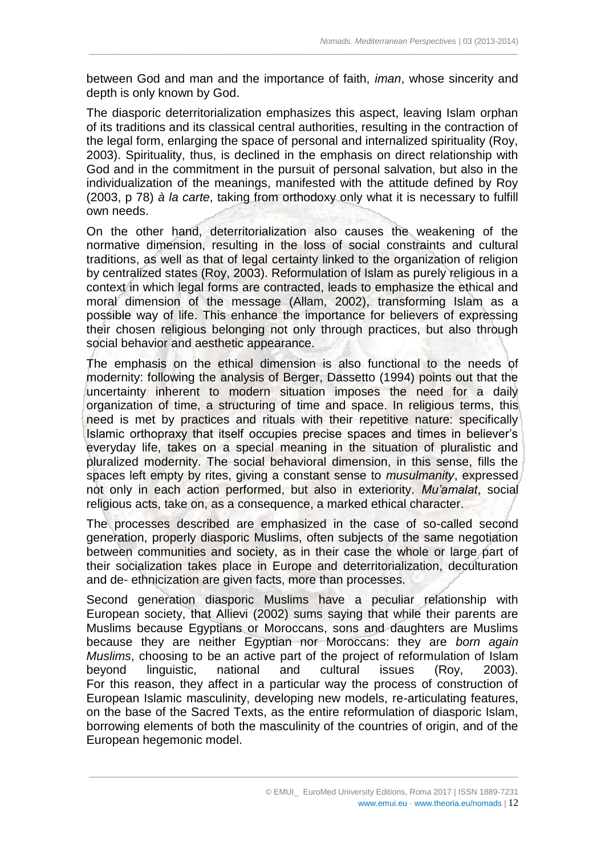between God and man and the importance of faith, *iman*, whose sincerity and depth is only known by God.

 $\_$  ,  $\_$  ,  $\_$  ,  $\_$  ,  $\_$  ,  $\_$  ,  $\_$  ,  $\_$  ,  $\_$  ,  $\_$  ,  $\_$  ,  $\_$  ,  $\_$  ,  $\_$  ,  $\_$  ,  $\_$  ,  $\_$  ,  $\_$  ,  $\_$  ,  $\_$  ,  $\_$  ,  $\_$  ,  $\_$  ,  $\_$  ,  $\_$  ,  $\_$  ,  $\_$  ,  $\_$  ,  $\_$  ,  $\_$  ,  $\_$  ,  $\_$  ,  $\_$  ,  $\_$  ,  $\_$  ,  $\_$  ,  $\_$  ,

The diasporic deterritorialization emphasizes this aspect, leaving Islam orphan of its traditions and its classical central authorities, resulting in the contraction of the legal form, enlarging the space of personal and internalized spirituality (Roy, 2003). Spirituality, thus, is declined in the emphasis on direct relationship with God and in the commitment in the pursuit of personal salvation, but also in the individualization of the meanings, manifested with the attitude defined by Roy (2003, p 78) *à la carte*, taking from orthodoxy only what it is necessary to fulfill own needs.

On the other hand, deterritorialization also causes the weakening of the normative dimension, resulting in the loss of social constraints and cultural traditions, as well as that of legal certainty linked to the organization of religion by centralized states (Roy, 2003). Reformulation of Islam as purely religious in a context in which legal forms are contracted, leads to emphasize the ethical and moral dimension of the message (Allam, 2002), transforming Islam as a possible way of life. This enhance the importance for believers of expressing their chosen religious belonging not only through practices, but also through social behavior and aesthetic appearance.

The emphasis on the ethical dimension is also functional to the needs of modernity: following the analysis of Berger, Dassetto (1994) points out that the uncertainty inherent to modern situation imposes the need for a daily organization of time, a structuring of time and space. In religious terms, this need is met by practices and rituals with their repetitive nature: specifically Islamic orthopraxy that itself occupies precise spaces and times in believer's everyday life, takes on a special meaning in the situation of pluralistic and pluralized modernity. The social behavioral dimension, in this sense, fills the spaces left empty by rites, giving a constant sense to *musulmanity*, expressed not only in each action performed, but also in exteriority. *Mu'amalat*, social religious acts, take on, as a consequence, a marked ethical character.

The processes described are emphasized in the case of so-called second generation, properly diasporic Muslims, often subjects of the same negotiation between communities and society, as in their case the whole or large part of their socialization takes place in Europe and deterritorialization, deculturation and de- ethnicization are given facts, more than processes.

Second generation diasporic Muslims have a peculiar relationship with European society, that Allievi (2002) sums saying that while their parents are Muslims because Egyptians or Moroccans, sons and daughters are Muslims because they are neither Egyptian nor Moroccans: they are *born again Muslims*, choosing to be an active part of the project of reformulation of Islam beyond linguistic, national and cultural issues (Roy, 2003). For this reason, they affect in a particular way the process of construction of European Islamic masculinity, developing new models, re-articulating features, on the base of the Sacred Texts, as the entire reformulation of diasporic Islam, borrowing elements of both the masculinity of the countries of origin, and of the European hegemonic model.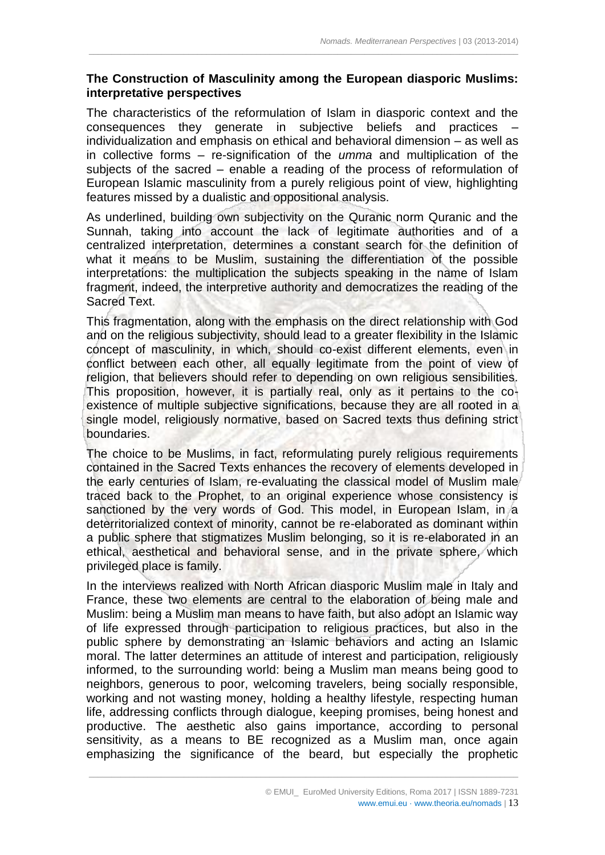## **The Construction of Masculinity among the European diasporic Muslims: interpretative perspectives**

 $\_$  ,  $\_$  ,  $\_$  ,  $\_$  ,  $\_$  ,  $\_$  ,  $\_$  ,  $\_$  ,  $\_$  ,  $\_$  ,  $\_$  ,  $\_$  ,  $\_$  ,  $\_$  ,  $\_$  ,  $\_$  ,  $\_$  ,  $\_$  ,  $\_$  ,  $\_$  ,  $\_$  ,  $\_$  ,  $\_$  ,  $\_$  ,  $\_$  ,  $\_$  ,  $\_$  ,  $\_$  ,  $\_$  ,  $\_$  ,  $\_$  ,  $\_$  ,  $\_$  ,  $\_$  ,  $\_$  ,  $\_$  ,  $\_$  ,

The characteristics of the reformulation of Islam in diasporic context and the consequences they generate in subjective beliefs and practices – individualization and emphasis on ethical and behavioral dimension – as well as in collective forms – re-signification of the *umma* and multiplication of the subjects of the sacred – enable a reading of the process of reformulation of European Islamic masculinity from a purely religious point of view, highlighting features missed by a dualistic and oppositional analysis.

As underlined, building own subjectivity on the Quranic norm Quranic and the Sunnah, taking into account the lack of legitimate authorities and of a centralized interpretation, determines a constant search for the definition of what it means to be Muslim, sustaining the differentiation of the possible interpretations: the multiplication the subjects speaking in the name of Islam fragment, indeed, the interpretive authority and democratizes the reading of the Sacred Text.

This fragmentation, along with the emphasis on the direct relationship with God and on the religious subjectivity, should lead to a greater flexibility in the Islamic concept of masculinity, in which, should co-exist different elements, even in conflict between each other, all equally legitimate from the point of view of religion, that believers should refer to depending on own religious sensibilities. This proposition, however, it is partially real, only as it pertains to the coexistence of multiple subjective significations, because they are all rooted in a single model, religiously normative, based on Sacred texts thus defining strict boundaries.

The choice to be Muslims, in fact, reformulating purely religious requirements contained in the Sacred Texts enhances the recovery of elements developed in the early centuries of Islam, re-evaluating the classical model of Muslim male traced back to the Prophet, to an original experience whose consistency is sanctioned by the very words of God. This model, in European Islam, in a deterritorialized context of minority, cannot be re-elaborated as dominant within a public sphere that stigmatizes Muslim belonging, so it is re-elaborated in an ethical, aesthetical and behavioral sense, and in the private sphere, which privileged place is family.

In the interviews realized with North African diasporic Muslim male in Italy and France, these two elements are central to the elaboration of being male and Muslim: being a Muslim man means to have faith, but also adopt an Islamic way of life expressed through participation to religious practices, but also in the public sphere by demonstrating an Islamic behaviors and acting an Islamic moral. The latter determines an attitude of interest and participation, religiously informed, to the surrounding world: being a Muslim man means being good to neighbors, generous to poor, welcoming travelers, being socially responsible, working and not wasting money, holding a healthy lifestyle, respecting human life, addressing conflicts through dialogue, keeping promises, being honest and productive. The aesthetic also gains importance, according to personal sensitivity, as a means to BE recognized as a Muslim man, once again emphasizing the significance of the beard, but especially the prophetic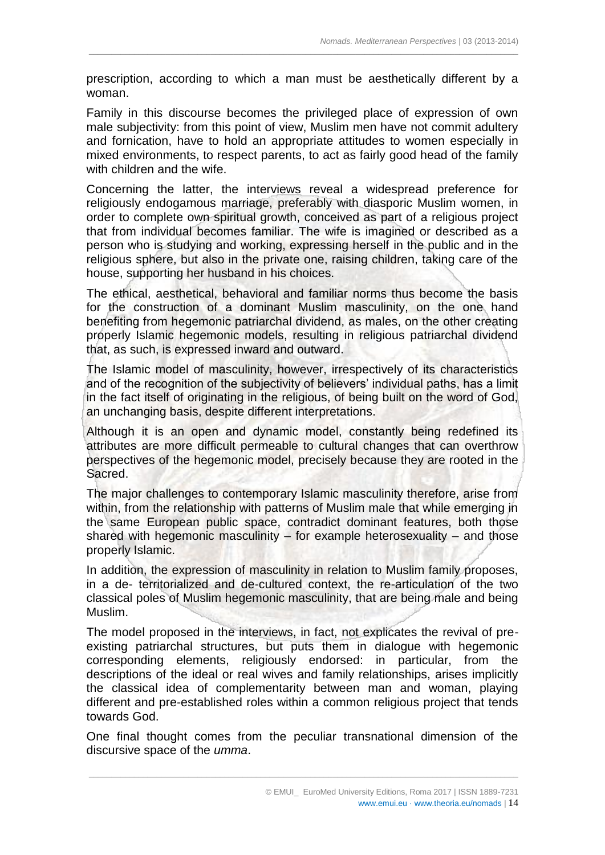prescription, according to which a man must be aesthetically different by a woman.

 $\_$  ,  $\_$  ,  $\_$  ,  $\_$  ,  $\_$  ,  $\_$  ,  $\_$  ,  $\_$  ,  $\_$  ,  $\_$  ,  $\_$  ,  $\_$  ,  $\_$  ,  $\_$  ,  $\_$  ,  $\_$  ,  $\_$  ,  $\_$  ,  $\_$  ,  $\_$  ,  $\_$  ,  $\_$  ,  $\_$  ,  $\_$  ,  $\_$  ,  $\_$  ,  $\_$  ,  $\_$  ,  $\_$  ,  $\_$  ,  $\_$  ,  $\_$  ,  $\_$  ,  $\_$  ,  $\_$  ,  $\_$  ,  $\_$  ,

Family in this discourse becomes the privileged place of expression of own male subjectivity: from this point of view, Muslim men have not commit adultery and fornication, have to hold an appropriate attitudes to women especially in mixed environments, to respect parents, to act as fairly good head of the family with children and the wife.

Concerning the latter, the interviews reveal a widespread preference for religiously endogamous marriage, preferably with diasporic Muslim women, in order to complete own spiritual growth, conceived as part of a religious project that from individual becomes familiar. The wife is imagined or described as a person who is studying and working, expressing herself in the public and in the religious sphere, but also in the private one, raising children, taking care of the house, supporting her husband in his choices.

The ethical, aesthetical, behavioral and familiar norms thus become the basis for the construction of a dominant Muslim masculinity, on the one hand benefiting from hegemonic patriarchal dividend, as males, on the other creating properly Islamic hegemonic models, resulting in religious patriarchal dividend that, as such, is expressed inward and outward.

The Islamic model of masculinity, however, irrespectively of its characteristics and of the recognition of the subjectivity of believers' individual paths, has a limit in the fact itself of originating in the religious, of being built on the word of God, an unchanging basis, despite different interpretations.

Although it is an open and dynamic model, constantly being redefined its attributes are more difficult permeable to cultural changes that can overthrow perspectives of the hegemonic model, precisely because they are rooted in the Sacred.

The major challenges to contemporary Islamic masculinity therefore, arise from within, from the relationship with patterns of Muslim male that while emerging in the same European public space, contradict dominant features, both those shared with hegemonic masculinity – for example heterosexuality – and those properly Islamic.

In addition, the expression of masculinity in relation to Muslim family proposes, in a de- territorialized and de-cultured context, the re-articulation of the two classical poles of Muslim hegemonic masculinity, that are being male and being Muslim.

The model proposed in the interviews, in fact, not explicates the revival of preexisting patriarchal structures, but puts them in dialogue with hegemonic corresponding elements, religiously endorsed: in particular, from the descriptions of the ideal or real wives and family relationships, arises implicitly the classical idea of complementarity between man and woman, playing different and pre-established roles within a common religious project that tends towards God.

One final thought comes from the peculiar transnational dimension of the discursive space of the *umma*.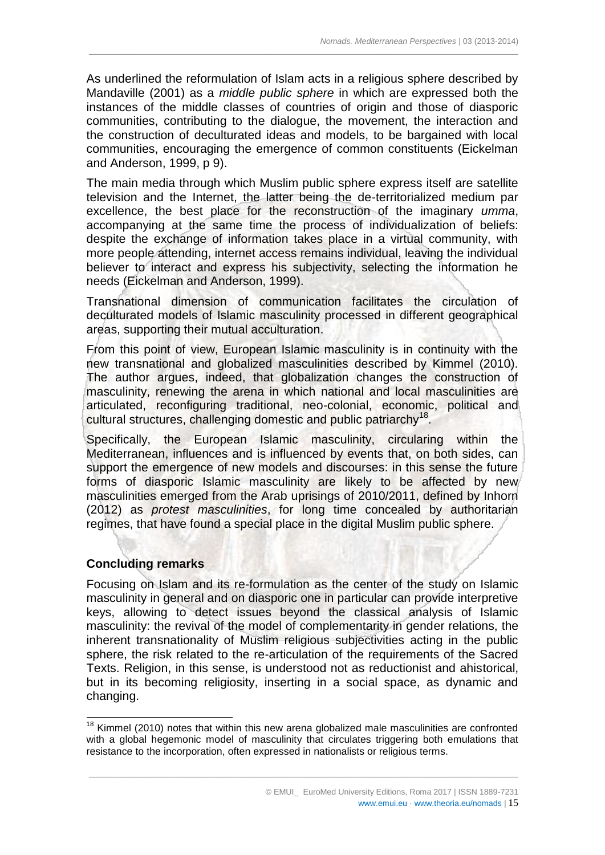As underlined the reformulation of Islam acts in a religious sphere described by Mandaville (2001) as a *middle public sphere* in which are expressed both the instances of the middle classes of countries of origin and those of diasporic communities, contributing to the dialogue, the movement, the interaction and the construction of deculturated ideas and models, to be bargained with local communities, encouraging the emergence of common constituents (Eickelman and Anderson, 1999, p 9).

 $\_$  ,  $\_$  ,  $\_$  ,  $\_$  ,  $\_$  ,  $\_$  ,  $\_$  ,  $\_$  ,  $\_$  ,  $\_$  ,  $\_$  ,  $\_$  ,  $\_$  ,  $\_$  ,  $\_$  ,  $\_$  ,  $\_$  ,  $\_$  ,  $\_$  ,  $\_$  ,  $\_$  ,  $\_$  ,  $\_$  ,  $\_$  ,  $\_$  ,  $\_$  ,  $\_$  ,  $\_$  ,  $\_$  ,  $\_$  ,  $\_$  ,  $\_$  ,  $\_$  ,  $\_$  ,  $\_$  ,  $\_$  ,  $\_$  ,

The main media through which Muslim public sphere express itself are satellite television and the Internet, the latter being the de-territorialized medium par excellence, the best place for the reconstruction of the imaginary *umma*, accompanying at the same time the process of individualization of beliefs: despite the exchange of information takes place in a virtual community, with more people attending, internet access remains individual, leaving the individual believer to interact and express his subjectivity, selecting the information he needs (Eickelman and Anderson, 1999).

Transnational dimension of communication facilitates the circulation of deculturated models of Islamic masculinity processed in different geographical areas, supporting their mutual acculturation.

From this point of view, European Islamic masculinity is in continuity with the new transnational and globalized masculinities described by Kimmel (2010). The author argues, indeed, that globalization changes the construction of masculinity, renewing the arena in which national and local masculinities are articulated, reconfiguring traditional, neo-colonial, economic, political and cultural structures, challenging domestic and public patriarchy<sup>18</sup>.

Specifically, the European Islamic masculinity, circularing within the Mediterranean, influences and is influenced by events that, on both sides, can support the emergence of new models and discourses: in this sense the future forms of diasporic Islamic masculinity are likely to be affected by new masculinities emerged from the Arab uprisings of 2010/2011, defined by Inhorn (2012) as *protest masculinities*, for long time concealed by authoritarian regimes, that have found a special place in the digital Muslim public sphere.

#### **Concluding remarks**

-

Focusing on Islam and its re-formulation as the center of the study on Islamic masculinity in general and on diasporic one in particular can provide interpretive keys, allowing to detect issues beyond the classical analysis of Islamic masculinity: the revival of the model of complementarity in gender relations, the inherent transnationality of Muslim religious subjectivities acting in the public sphere, the risk related to the re-articulation of the requirements of the Sacred Texts. Religion, in this sense, is understood not as reductionist and ahistorical, but in its becoming religiosity, inserting in a social space, as dynamic and changing.

 $18$  Kimmel (2010) notes that within this new arena globalized male masculinities are confronted with a global hegemonic model of masculinity that circulates triggering both emulations that resistance to the incorporation, often expressed in nationalists or religious terms.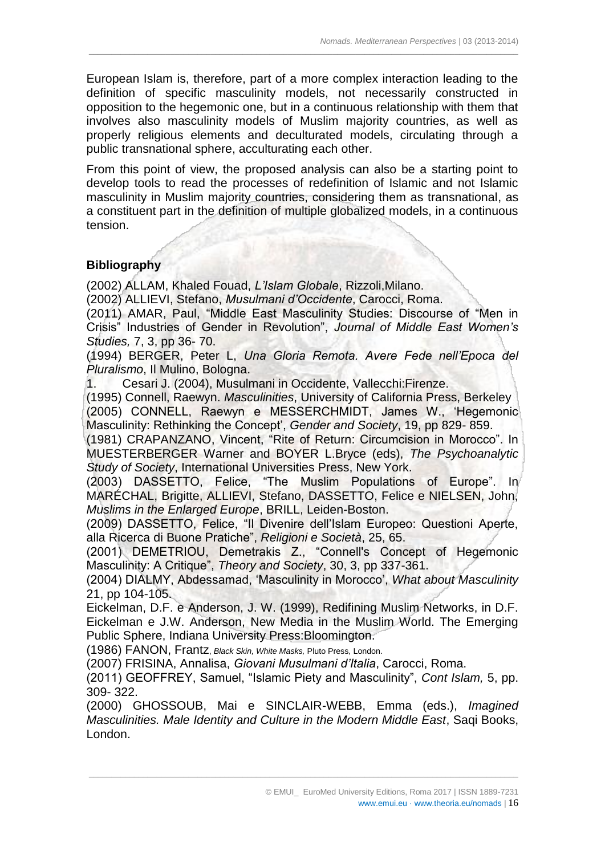European Islam is, therefore, part of a more complex interaction leading to the definition of specific masculinity models, not necessarily constructed in opposition to the hegemonic one, but in a continuous relationship with them that involves also masculinity models of Muslim majority countries, as well as properly religious elements and deculturated models, circulating through a public transnational sphere, acculturating each other.

 $\_$  ,  $\_$  ,  $\_$  ,  $\_$  ,  $\_$  ,  $\_$  ,  $\_$  ,  $\_$  ,  $\_$  ,  $\_$  ,  $\_$  ,  $\_$  ,  $\_$  ,  $\_$  ,  $\_$  ,  $\_$  ,  $\_$  ,  $\_$  ,  $\_$  ,  $\_$  ,  $\_$  ,  $\_$  ,  $\_$  ,  $\_$  ,  $\_$  ,  $\_$  ,  $\_$  ,  $\_$  ,  $\_$  ,  $\_$  ,  $\_$  ,  $\_$  ,  $\_$  ,  $\_$  ,  $\_$  ,  $\_$  ,  $\_$  ,

From this point of view, the proposed analysis can also be a starting point to develop tools to read the processes of redefinition of Islamic and not Islamic masculinity in Muslim majority countries, considering them as transnational, as a constituent part in the definition of multiple globalized models, in a continuous tension.

### **Bibliography**

(2002) ALLAM, Khaled Fouad, *L'Islam Globale*, Rizzoli,Milano.

(2002) ALLIEVI, Stefano, *Musulmani d'Occidente*, Carocci, Roma.

(2011) AMAR, Paul, "Middle East Masculinity Studies: Discourse of "Men in Crisis" Industries of Gender in Revolution", *Journal of Middle East Women's Studies,* 7, 3, pp 36- 70.

(1994) BERGER, Peter L, *Una Gloria Remota. Avere Fede nell'Epoca del Pluralismo*, Il Mulino, Bologna.

1. Cesari J. (2004), Musulmani in Occidente, Vallecchi:Firenze.

(1995) Connell, Raewyn. *Masculinities*, University of California Press, Berkeley (2005) CONNELL, Raewyn e MESSERCHMIDT, James W., 'Hegemonic Masculinity: Rethinking the Concept', *Gender and Society*, 19, pp 829- 859.

(1981) CRAPANZANO, Vincent, "Rite of Return: Circumcision in Morocco". In MUESTERBERGER Warner and BOYER L.Bryce (eds), *The Psychoanalytic Study of Society*, International Universities Press, New York.

(2003) DASSETTO, Felice, "The Muslim Populations of Europe". In MARÉCHAL, Brigitte, ALLIEVI, Stefano, DASSETTO, Felice e NIELSEN, John, *Muslims in the Enlarged Europe*, BRILL, Leiden-Boston.

(2009) DASSETTO, Felice, "Il Divenire dell'Islam Europeo: Questioni Aperte, alla Ricerca di Buone Pratiche", *Religioni e Società*, 25, 65.

(2001) DEMETRIOU, Demetrakis Z., "Connell's Concept of Hegemonic Masculinity: A Critique", *Theory and Society*, 30, 3, pp 337-361.

(2004) DIALMY, Abdessamad, 'Masculinity in Morocco', *What about Masculinity* 21, pp 104-105.

Eickelman, D.F. e Anderson, J. W. (1999), Redifining Muslim Networks, in D.F. Eickelman e J.W. Anderson, New Media in the Muslim World. The Emerging Public Sphere, Indiana University Press:Bloomington.

(1986) FANON, Frantz, *Black Skin, White Masks,* Pluto Press, London.

(2007) FRISINA, Annalisa, *Giovani Musulmani d'Italia*, Carocci, Roma.

(2011) GEOFFREY, Samuel, "Islamic Piety and Masculinity", *Cont Islam,* 5, pp. 309- 322.

(2000) GHOSSOUB, Mai e SINCLAIR-WEBB, Emma (eds.), *Imagined Masculinities. Male Identity and Culture in the Modern Middle East*, Saqi Books, London.